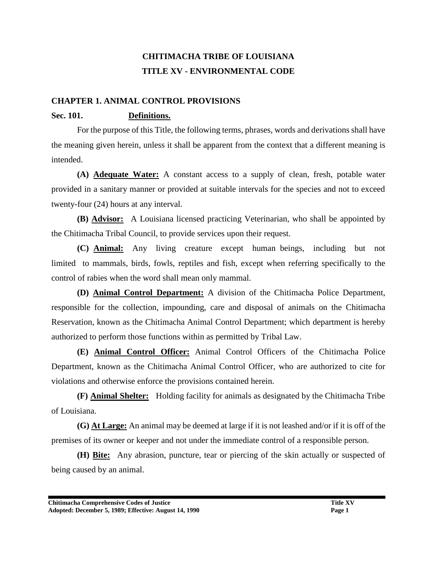# **CHITIMACHA TRIBE OF LOUISIANA TITLE XV - ENVIRONMENTAL CODE**

#### **CHAPTER 1. ANIMAL CONTROL PROVISIONS**

#### **Sec. 101. Definitions.**

For the purpose of this Title, the following terms, phrases, words and derivations shall have the meaning given herein, unless it shall be apparent from the context that a different meaning is intended.

**(A) Adequate Water:** A constant access to a supply of clean, fresh, potable water provided in a sanitary manner or provided at suitable intervals for the species and not to exceed twenty-four (24) hours at any interval.

**(B) Advisor:** A Louisiana licensed practicing Veterinarian, who shall be appointed by the Chitimacha Tribal Council, to provide services upon their request.

**(C) Animal:** Any living creature except human beings, including but not limited to mammals, birds, fowls, reptiles and fish, except when referring specifically to the control of rabies when the word shall mean only mammal.

**(D) Animal Control Department:** A division of the Chitimacha Police Department, responsible for the collection, impounding, care and disposal of animals on the Chitimacha Reservation, known as the Chitimacha Animal Control Department; which department is hereby authorized to perform those functions within as permitted by Tribal Law.

**(E) Animal Control Officer:** Animal Control Officers of the Chitimacha Police Department, known as the Chitimacha Animal Control Officer, who are authorized to cite for violations and otherwise enforce the provisions contained herein.

**(F) Animal Shelter:** Holding facility for animals as designated by the Chitimacha Tribe of Louisiana.

**(G) At Large:** An animal may be deemed at large if it is not leashed and/or if it is off of the premises of its owner or keeper and not under the immediate control of a responsible person.

**(H) Bite:** Any abrasion, puncture, tear or piercing of the skin actually or suspected of being caused by an animal.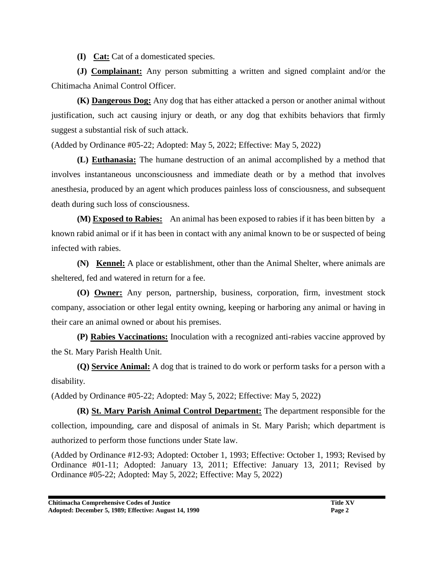**(I) Cat:** Cat of a domesticated species.

**(J) Complainant:** Any person submitting a written and signed complaint and/or the Chitimacha Animal Control Officer.

**(K) Dangerous Dog:** Any dog that has either attacked a person or another animal without justification, such act causing injury or death, or any dog that exhibits behaviors that firmly suggest a substantial risk of such attack.

(Added by Ordinance #05-22; Adopted: May 5, 2022; Effective: May 5, 2022)

**(L) Euthanasia:** The humane destruction of an animal accomplished by a method that involves instantaneous unconsciousness and immediate death or by a method that involves anesthesia, produced by an agent which produces painless loss of consciousness, and subsequent death during such loss of consciousness.

**(M) Exposed to Rabies:** An animal has been exposed to rabies if it has been bitten by a known rabid animal or if it has been in contact with any animal known to be or suspected of being infected with rabies.

**(N) Kennel:** A place or establishment, other than the Animal Shelter, where animals are sheltered, fed and watered in return for a fee.

**(O) Owner:** Any person, partnership, business, corporation, firm, investment stock company, association or other legal entity owning, keeping or harboring any animal or having in their care an animal owned or about his premises.

**(P) Rabies Vaccinations:** Inoculation with a recognized anti-rabies vaccine approved by the St. Mary Parish Health Unit.

**(Q) Service Animal:** A dog that is trained to do work or perform tasks for a person with a disability.

(Added by Ordinance #05-22; Adopted: May 5, 2022; Effective: May 5, 2022)

**(R) St. Mary Parish Animal Control Department:** The department responsible for the collection, impounding, care and disposal of animals in St. Mary Parish; which department is authorized to perform those functions under State law.

(Added by Ordinance #12-93; Adopted: October 1, 1993; Effective: October 1, 1993; Revised by Ordinance #01-11; Adopted: January 13, 2011; Effective: January 13, 2011; Revised by Ordinance #05-22; Adopted: May 5, 2022; Effective: May 5, 2022)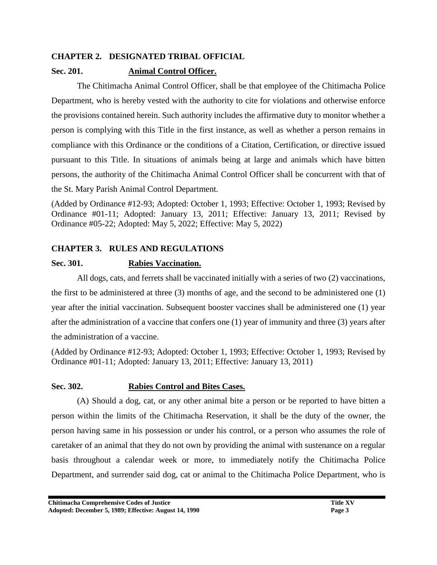### **CHAPTER 2. DESIGNATED TRIBAL OFFICIAL**

#### **Sec. 201. Animal Control Officer.**

The Chitimacha Animal Control Officer, shall be that employee of the Chitimacha Police Department, who is hereby vested with the authority to cite for violations and otherwise enforce the provisions contained herein. Such authority includes the affirmative duty to monitor whether a person is complying with this Title in the first instance, as well as whether a person remains in compliance with this Ordinance or the conditions of a Citation, Certification, or directive issued pursuant to this Title. In situations of animals being at large and animals which have bitten persons, the authority of the Chitimacha Animal Control Officer shall be concurrent with that of the St. Mary Parish Animal Control Department.

(Added by Ordinance #12-93; Adopted: October 1, 1993; Effective: October 1, 1993; Revised by Ordinance #01-11; Adopted: January 13, 2011; Effective: January 13, 2011; Revised by Ordinance #05-22; Adopted: May 5, 2022; Effective: May 5, 2022)

### **CHAPTER 3. RULES AND REGULATIONS**

### **Sec. 301. Rabies Vaccination.**

All dogs, cats, and ferrets shall be vaccinated initially with a series of two (2) vaccinations, the first to be administered at three (3) months of age, and the second to be administered one (1) year after the initial vaccination. Subsequent booster vaccines shall be administered one (1) year after the administration of a vaccine that confers one (1) year of immunity and three (3) years after the administration of a vaccine.

(Added by Ordinance #12-93; Adopted: October 1, 1993; Effective: October 1, 1993; Revised by Ordinance #01-11; Adopted: January 13, 2011; Effective: January 13, 2011)

#### **Sec. 302. Rabies Control and Bites Cases.**

(A) Should a dog, cat, or any other animal bite a person or be reported to have bitten a person within the limits of the Chitimacha Reservation, it shall be the duty of the owner, the person having same in his possession or under his control, or a person who assumes the role of caretaker of an animal that they do not own by providing the animal with sustenance on a regular basis throughout a calendar week or more, to immediately notify the Chitimacha Police Department, and surrender said dog, cat or animal to the Chitimacha Police Department, who is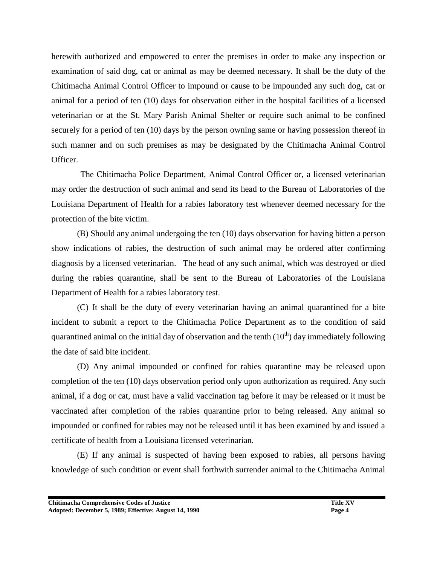herewith authorized and empowered to enter the premises in order to make any inspection or examination of said dog, cat or animal as may be deemed necessary. It shall be the duty of the Chitimacha Animal Control Officer to impound or cause to be impounded any such dog, cat or animal for a period of ten (10) days for observation either in the hospital facilities of a licensed veterinarian or at the St. Mary Parish Animal Shelter or require such animal to be confined securely for a period of ten (10) days by the person owning same or having possession thereof in such manner and on such premises as may be designated by the Chitimacha Animal Control Officer.

The Chitimacha Police Department, Animal Control Officer or, a licensed veterinarian may order the destruction of such animal and send its head to the Bureau of Laboratories of the Louisiana Department of Health for a rabies laboratory test whenever deemed necessary for the protection of the bite victim.

(B) Should any animal undergoing the ten (10) days observation for having bitten a person show indications of rabies, the destruction of such animal may be ordered after confirming diagnosis by a licensed veterinarian. The head of any such animal, which was destroyed or died during the rabies quarantine, shall be sent to the Bureau of Laboratories of the Louisiana Department of Health for a rabies laboratory test.

(C) It shall be the duty of every veterinarian having an animal quarantined for a bite incident to submit a report to the Chitimacha Police Department as to the condition of said quarantined animal on the initial day of observation and the tenth  $(10<sup>th</sup>)$  day immediately following the date of said bite incident.

(D) Any animal impounded or confined for rabies quarantine may be released upon completion of the ten (10) days observation period only upon authorization as required. Any such animal, if a dog or cat, must have a valid vaccination tag before it may be released or it must be vaccinated after completion of the rabies quarantine prior to being released. Any animal so impounded or confined for rabies may not be released until it has been examined by and issued a certificate of health from a Louisiana licensed veterinarian.

(E) If any animal is suspected of having been exposed to rabies, all persons having knowledge of such condition or event shall forthwith surrender animal to the Chitimacha Animal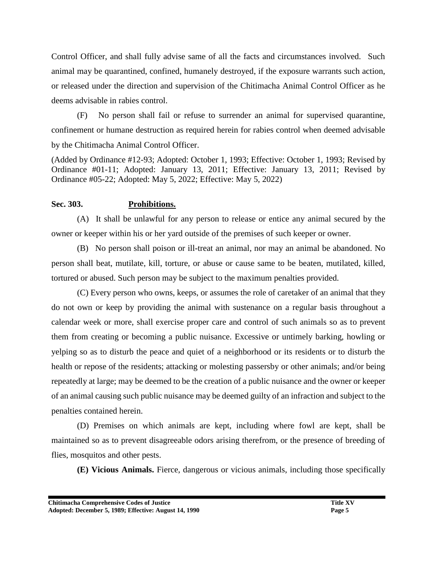Control Officer, and shall fully advise same of all the facts and circumstances involved. Such animal may be quarantined, confined, humanely destroyed, if the exposure warrants such action, or released under the direction and supervision of the Chitimacha Animal Control Officer as he deems advisable in rabies control.

(F) No person shall fail or refuse to surrender an animal for supervised quarantine, confinement or humane destruction as required herein for rabies control when deemed advisable by the Chitimacha Animal Control Officer.

(Added by Ordinance #12-93; Adopted: October 1, 1993; Effective: October 1, 1993; Revised by Ordinance #01-11; Adopted: January 13, 2011; Effective: January 13, 2011; Revised by Ordinance #05-22; Adopted: May 5, 2022; Effective: May 5, 2022)

#### **Sec. 303. Prohibitions.**

(A) It shall be unlawful for any person to release or entice any animal secured by the owner or keeper within his or her yard outside of the premises of such keeper or owner.

(B) No person shall poison or ill-treat an animal, nor may an animal be abandoned. No person shall beat, mutilate, kill, torture, or abuse or cause same to be beaten, mutilated, killed, tortured or abused. Such person may be subject to the maximum penalties provided.

(C) Every person who owns, keeps, or assumes the role of caretaker of an animal that they do not own or keep by providing the animal with sustenance on a regular basis throughout a calendar week or more, shall exercise proper care and control of such animals so as to prevent them from creating or becoming a public nuisance. Excessive or untimely barking, howling or yelping so as to disturb the peace and quiet of a neighborhood or its residents or to disturb the health or repose of the residents; attacking or molesting passersby or other animals; and/or being repeatedly at large; may be deemed to be the creation of a public nuisance and the owner or keeper of an animal causing such public nuisance may be deemed guilty of an infraction and subject to the penalties contained herein.

(D) Premises on which animals are kept, including where fowl are kept, shall be maintained so as to prevent disagreeable odors arising therefrom, or the presence of breeding of flies, mosquitos and other pests.

**(E) Vicious Animals.** Fierce, dangerous or vicious animals, including those specifically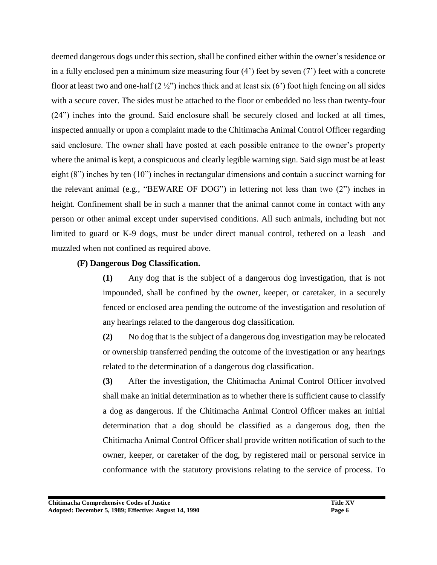deemed dangerous dogs under this section, shall be confined either within the owner's residence or in a fully enclosed pen a minimum size measuring four (4') feet by seven (7') feet with a concrete floor at least two and one-half  $(2 \frac{1}{2})$  inches thick and at least six  $(6)$  foot high fencing on all sides with a secure cover. The sides must be attached to the floor or embedded no less than twenty-four (24") inches into the ground. Said enclosure shall be securely closed and locked at all times, inspected annually or upon a complaint made to the Chitimacha Animal Control Officer regarding said enclosure. The owner shall have posted at each possible entrance to the owner's property where the animal is kept, a conspicuous and clearly legible warning sign. Said sign must be at least eight (8") inches by ten (10") inches in rectangular dimensions and contain a succinct warning for the relevant animal (e.g., "BEWARE OF DOG") in lettering not less than two (2") inches in height. Confinement shall be in such a manner that the animal cannot come in contact with any person or other animal except under supervised conditions. All such animals, including but not limited to guard or K-9 dogs, must be under direct manual control, tethered on a leash and muzzled when not confined as required above.

#### **(F) Dangerous Dog Classification.**

**(1)** Any dog that is the subject of a dangerous dog investigation, that is not impounded, shall be confined by the owner, keeper, or caretaker, in a securely fenced or enclosed area pending the outcome of the investigation and resolution of any hearings related to the dangerous dog classification.

**(2)** No dog that is the subject of a dangerous dog investigation may be relocated or ownership transferred pending the outcome of the investigation or any hearings related to the determination of a dangerous dog classification.

**(3)** After the investigation, the Chitimacha Animal Control Officer involved shall make an initial determination as to whether there is sufficient cause to classify a dog as dangerous. If the Chitimacha Animal Control Officer makes an initial determination that a dog should be classified as a dangerous dog, then the Chitimacha Animal Control Officer shall provide written notification of such to the owner, keeper, or caretaker of the dog, by registered mail or personal service in conformance with the statutory provisions relating to the service of process. To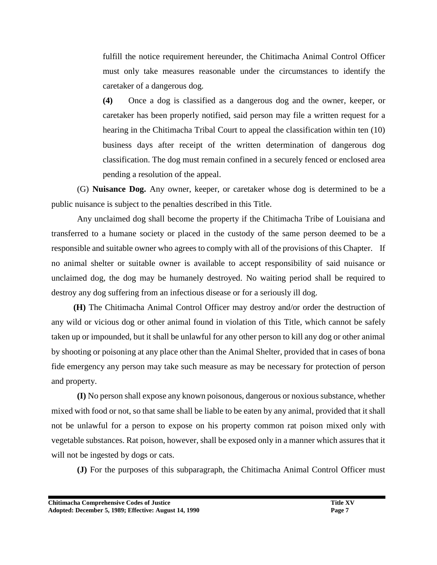fulfill the notice requirement hereunder, the Chitimacha Animal Control Officer must only take measures reasonable under the circumstances to identify the caretaker of a dangerous dog.

**(4)** Once a dog is classified as a dangerous dog and the owner, keeper, or caretaker has been properly notified, said person may file a written request for a hearing in the Chitimacha Tribal Court to appeal the classification within ten (10) business days after receipt of the written determination of dangerous dog classification. The dog must remain confined in a securely fenced or enclosed area pending a resolution of the appeal.

(G) **Nuisance Dog.** Any owner, keeper, or caretaker whose dog is determined to be a public nuisance is subject to the penalties described in this Title.

Any unclaimed dog shall become the property if the Chitimacha Tribe of Louisiana and transferred to a humane society or placed in the custody of the same person deemed to be a responsible and suitable owner who agrees to comply with all of the provisions of this Chapter. If no animal shelter or suitable owner is available to accept responsibility of said nuisance or unclaimed dog, the dog may be humanely destroyed. No waiting period shall be required to destroy any dog suffering from an infectious disease or for a seriously ill dog.

 **(H)** The Chitimacha Animal Control Officer may destroy and/or order the destruction of any wild or vicious dog or other animal found in violation of this Title, which cannot be safely taken up or impounded, but it shall be unlawful for any other person to kill any dog or other animal by shooting or poisoning at any place other than the Animal Shelter, provided that in cases of bona fide emergency any person may take such measure as may be necessary for protection of person and property.

**(I)** No person shall expose any known poisonous, dangerous or noxious substance, whether mixed with food or not, so that same shall be liable to be eaten by any animal, provided that it shall not be unlawful for a person to expose on his property common rat poison mixed only with vegetable substances. Rat poison, however, shall be exposed only in a manner which assures that it will not be ingested by dogs or cats.

**(J)** For the purposes of this subparagraph, the Chitimacha Animal Control Officer must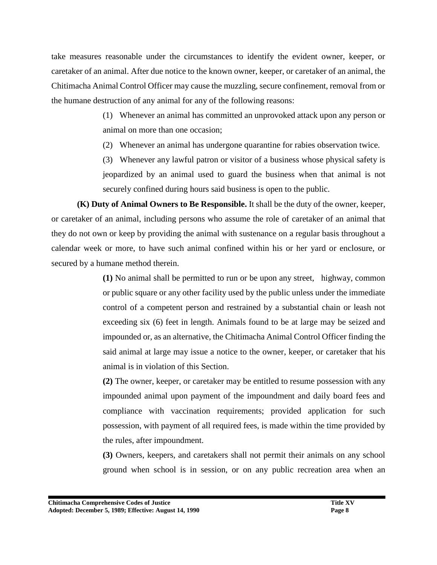take measures reasonable under the circumstances to identify the evident owner, keeper, or caretaker of an animal. After due notice to the known owner, keeper, or caretaker of an animal, the Chitimacha Animal Control Officer may cause the muzzling, secure confinement, removal from or the humane destruction of any animal for any of the following reasons:

> (1) Whenever an animal has committed an unprovoked attack upon any person or animal on more than one occasion;

(2) Whenever an animal has undergone quarantine for rabies observation twice.

(3) Whenever any lawful patron or visitor of a business whose physical safety is jeopardized by an animal used to guard the business when that animal is not securely confined during hours said business is open to the public.

**(K) Duty of Animal Owners to Be Responsible.** It shall be the duty of the owner, keeper, or caretaker of an animal, including persons who assume the role of caretaker of an animal that they do not own or keep by providing the animal with sustenance on a regular basis throughout a calendar week or more, to have such animal confined within his or her yard or enclosure, or secured by a humane method therein.

> **(1)** No animal shall be permitted to run or be upon any street, highway, common or public square or any other facility used by the public unless under the immediate control of a competent person and restrained by a substantial chain or leash not exceeding six (6) feet in length. Animals found to be at large may be seized and impounded or, as an alternative, the Chitimacha Animal Control Officer finding the said animal at large may issue a notice to the owner, keeper, or caretaker that his animal is in violation of this Section.

> **(2)** The owner, keeper, or caretaker may be entitled to resume possession with any impounded animal upon payment of the impoundment and daily board fees and compliance with vaccination requirements; provided application for such possession, with payment of all required fees, is made within the time provided by the rules, after impoundment.

> **(3)** Owners, keepers, and caretakers shall not permit their animals on any school ground when school is in session, or on any public recreation area when an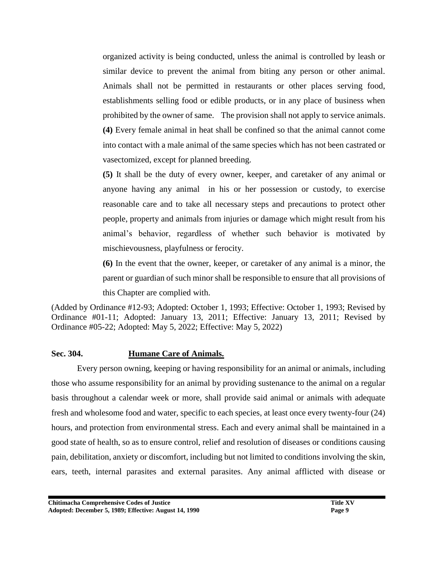organized activity is being conducted, unless the animal is controlled by leash or similar device to prevent the animal from biting any person or other animal. Animals shall not be permitted in restaurants or other places serving food, establishments selling food or edible products, or in any place of business when prohibited by the owner of same. The provision shall not apply to service animals. **(4)** Every female animal in heat shall be confined so that the animal cannot come into contact with a male animal of the same species which has not been castrated or vasectomized, except for planned breeding.

**(5)** It shall be the duty of every owner, keeper, and caretaker of any animal or anyone having any animal in his or her possession or custody, to exercise reasonable care and to take all necessary steps and precautions to protect other people, property and animals from injuries or damage which might result from his animal's behavior, regardless of whether such behavior is motivated by mischievousness, playfulness or ferocity.

**(6)** In the event that the owner, keeper, or caretaker of any animal is a minor, the parent or guardian of such minor shall be responsible to ensure that all provisions of this Chapter are complied with.

(Added by Ordinance #12-93; Adopted: October 1, 1993; Effective: October 1, 1993; Revised by Ordinance #01-11; Adopted: January 13, 2011; Effective: January 13, 2011; Revised by Ordinance #05-22; Adopted: May 5, 2022; Effective: May 5, 2022)

#### **Sec. 304. Humane Care of Animals.**

Every person owning, keeping or having responsibility for an animal or animals, including those who assume responsibility for an animal by providing sustenance to the animal on a regular basis throughout a calendar week or more, shall provide said animal or animals with adequate fresh and wholesome food and water, specific to each species, at least once every twenty-four (24) hours, and protection from environmental stress. Each and every animal shall be maintained in a good state of health, so as to ensure control, relief and resolution of diseases or conditions causing pain, debilitation, anxiety or discomfort, including but not limited to conditions involving the skin, ears, teeth, internal parasites and external parasites. Any animal afflicted with disease or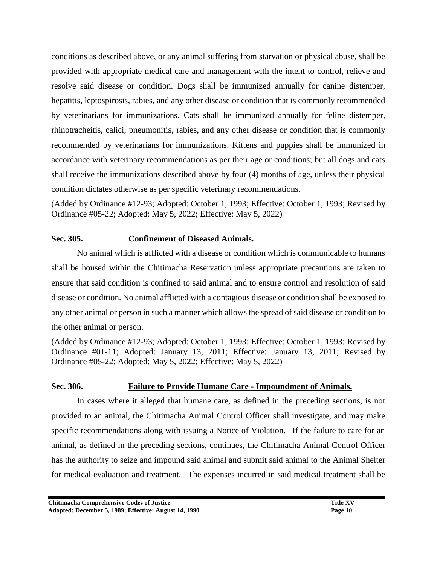conditions as described above, or any animal suffering from starvation or physical abuse, shall be provided with appropriate medical care and management with the intent to control, relieve and resolve said disease or condition. Dogs shall be immunized annually for canine distemper, hepatitis, leptospirosis, rabies, and any other disease or condition that is commonly recommended by veterinarians for immunizations. Cats shall be immunized annually for feline distemper, rhinotracheitis, calici, pneumonitis, rabies, and any other disease or condition that is commonly recommended by veterinarians for immunizations. Kittens and puppies shall be immunized in accordance with veterinary recommendations as per their age or conditions; but all dogs and cats shall receive the immunizations described above by four (4) months of age, unless their physical condition dictates otherwise as per specific veterinary recommendations.

(Added by Ordinance #12-93; Adopted: October 1, 1993; Effective: October 1, 1993; Revised by Ordinance #05-22; Adopted: May 5, 2022; Effective: May 5, 2022)

#### **Sec. 305. Confinement of Diseased Animals.**

No animal which is afflicted with a disease or condition which is communicable to humans shall be housed within the Chitimacha Reservation unless appropriate precautions are taken to ensure that said condition is confined to said animal and to ensure control and resolution of said disease or condition. No animal afflicted with a contagious disease or condition shall be exposed to any other animal or person in such a manner which allows the spread of said disease or condition to the other animal or person.

(Added by Ordinance #12-93; Adopted: October 1, 1993; Effective: October 1, 1993; Revised by Ordinance #01-11; Adopted: January 13, 2011; Effective: January 13, 2011; Revised by Ordinance #05-22; Adopted: May 5, 2022; Effective: May 5, 2022)

### **Sec. 306. Failure to Provide Humane Care - Impoundment of Animals.**

In cases where it alleged that humane care, as defined in the preceding sections, is not provided to an animal, the Chitimacha Animal Control Officer shall investigate, and may make specific recommendations along with issuing a Notice of Violation. If the failure to care for an animal, as defined in the preceding sections, continues, the Chitimacha Animal Control Officer has the authority to seize and impound said animal and submit said animal to the Animal Shelter for medical evaluation and treatment. The expenses incurred in said medical treatment shall be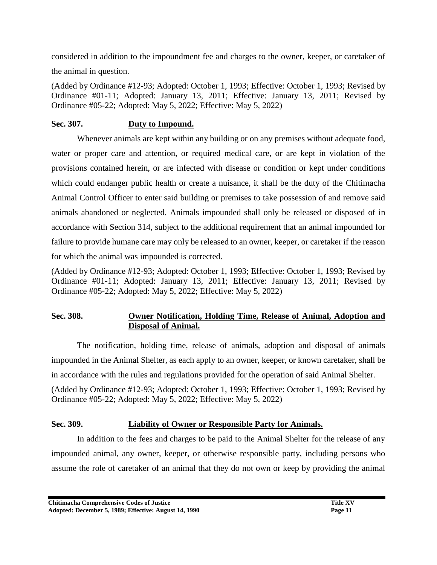considered in addition to the impoundment fee and charges to the owner, keeper, or caretaker of the animal in question.

(Added by Ordinance #12-93; Adopted: October 1, 1993; Effective: October 1, 1993; Revised by Ordinance #01-11; Adopted: January 13, 2011; Effective: January 13, 2011; Revised by Ordinance #05-22; Adopted: May 5, 2022; Effective: May 5, 2022)

#### **Sec. 307. Duty to Impound.**

Whenever animals are kept within any building or on any premises without adequate food, water or proper care and attention, or required medical care, or are kept in violation of the provisions contained herein, or are infected with disease or condition or kept under conditions which could endanger public health or create a nuisance, it shall be the duty of the Chitimacha Animal Control Officer to enter said building or premises to take possession of and remove said animals abandoned or neglected. Animals impounded shall only be released or disposed of in accordance with Section 314, subject to the additional requirement that an animal impounded for failure to provide humane care may only be released to an owner, keeper, or caretaker if the reason for which the animal was impounded is corrected.

(Added by Ordinance #12-93; Adopted: October 1, 1993; Effective: October 1, 1993; Revised by Ordinance #01-11; Adopted: January 13, 2011; Effective: January 13, 2011; Revised by Ordinance #05-22; Adopted: May 5, 2022; Effective: May 5, 2022)

### **Sec. 308. Owner Notification, Holding Time, Release of Animal, Adoption and Disposal of Animal.**

The notification, holding time, release of animals, adoption and disposal of animals impounded in the Animal Shelter, as each apply to an owner, keeper, or known caretaker, shall be in accordance with the rules and regulations provided for the operation of said Animal Shelter. (Added by Ordinance #12-93; Adopted: October 1, 1993; Effective: October 1, 1993; Revised by Ordinance #05-22; Adopted: May 5, 2022; Effective: May 5, 2022)

### **Sec. 309. Liability of Owner or Responsible Party for Animals.**

In addition to the fees and charges to be paid to the Animal Shelter for the release of any impounded animal, any owner, keeper, or otherwise responsible party, including persons who assume the role of caretaker of an animal that they do not own or keep by providing the animal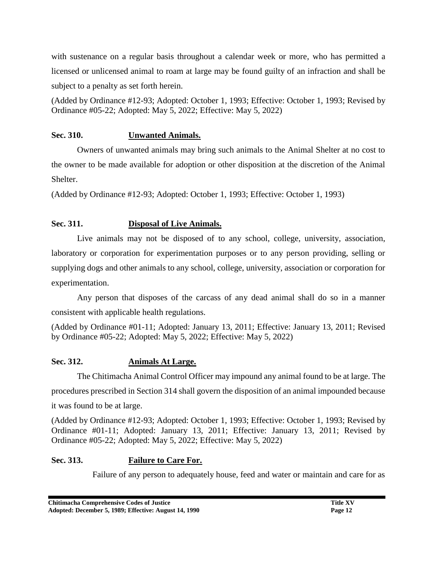with sustenance on a regular basis throughout a calendar week or more, who has permitted a licensed or unlicensed animal to roam at large may be found guilty of an infraction and shall be subject to a penalty as set forth herein.

(Added by Ordinance #12-93; Adopted: October 1, 1993; Effective: October 1, 1993; Revised by Ordinance #05-22; Adopted: May 5, 2022; Effective: May 5, 2022)

### **Sec. 310. Unwanted Animals.**

Owners of unwanted animals may bring such animals to the Animal Shelter at no cost to the owner to be made available for adoption or other disposition at the discretion of the Animal Shelter.

(Added by Ordinance #12-93; Adopted: October 1, 1993; Effective: October 1, 1993)

# **Sec. 311. Disposal of Live Animals.**

Live animals may not be disposed of to any school, college, university, association, laboratory or corporation for experimentation purposes or to any person providing, selling or supplying dogs and other animals to any school, college, university, association or corporation for experimentation.

Any person that disposes of the carcass of any dead animal shall do so in a manner consistent with applicable health regulations.

(Added by Ordinance #01-11; Adopted: January 13, 2011; Effective: January 13, 2011; Revised by Ordinance #05-22; Adopted: May 5, 2022; Effective: May 5, 2022)

### **Sec. 312. Animals At Large.**

The Chitimacha Animal Control Officer may impound any animal found to be at large. The procedures prescribed in Section 314 shall govern the disposition of an animal impounded because it was found to be at large.

(Added by Ordinance #12-93; Adopted: October 1, 1993; Effective: October 1, 1993; Revised by Ordinance #01-11; Adopted: January 13, 2011; Effective: January 13, 2011; Revised by Ordinance #05-22; Adopted: May 5, 2022; Effective: May 5, 2022)

# **Sec. 313. Failure to Care For.**

Failure of any person to adequately house, feed and water or maintain and care for as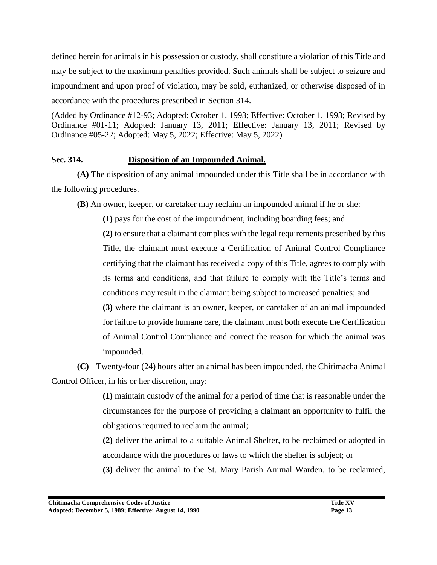defined herein for animals in his possession or custody, shall constitute a violation of this Title and may be subject to the maximum penalties provided. Such animals shall be subject to seizure and impoundment and upon proof of violation, may be sold, euthanized, or otherwise disposed of in accordance with the procedures prescribed in Section 314.

(Added by Ordinance #12-93; Adopted: October 1, 1993; Effective: October 1, 1993; Revised by Ordinance #01-11; Adopted: January 13, 2011; Effective: January 13, 2011; Revised by Ordinance #05-22; Adopted: May 5, 2022; Effective: May 5, 2022)

### **Sec. 314. Disposition of an Impounded Animal.**

**(A)** The disposition of any animal impounded under this Title shall be in accordance with the following procedures.

**(B)** An owner, keeper, or caretaker may reclaim an impounded animal if he or she:

**(1)** pays for the cost of the impoundment, including boarding fees; and **(2)** to ensure that a claimant complies with the legal requirements prescribed by this Title, the claimant must execute a Certification of Animal Control Compliance certifying that the claimant has received a copy of this Title, agrees to comply with its terms and conditions, and that failure to comply with the Title's terms and conditions may result in the claimant being subject to increased penalties; and **(3)** where the claimant is an owner, keeper, or caretaker of an animal impounded for failure to provide humane care, the claimant must both execute the Certification of Animal Control Compliance and correct the reason for which the animal was impounded.

**(C)** Twenty-four (24) hours after an animal has been impounded, the Chitimacha Animal Control Officer, in his or her discretion, may:

> **(1)** maintain custody of the animal for a period of time that is reasonable under the circumstances for the purpose of providing a claimant an opportunity to fulfil the obligations required to reclaim the animal;

> **(2)** deliver the animal to a suitable Animal Shelter, to be reclaimed or adopted in accordance with the procedures or laws to which the shelter is subject; or

> **(3)** deliver the animal to the St. Mary Parish Animal Warden, to be reclaimed,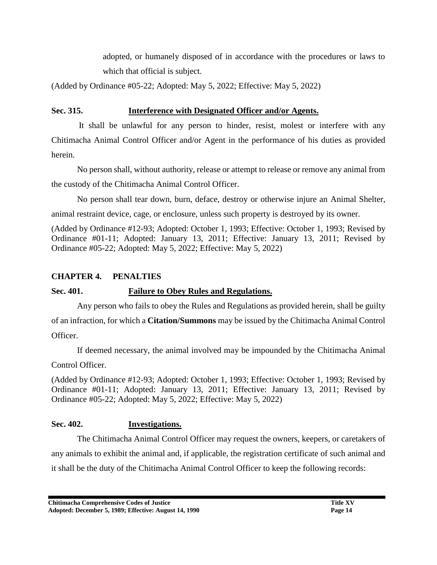adopted, or humanely disposed of in accordance with the procedures or laws to which that official is subject.

(Added by Ordinance #05-22; Adopted: May 5, 2022; Effective: May 5, 2022)

### **Sec. 315. Interference with Designated Officer and/or Agents.**

 It shall be unlawful for any person to hinder, resist, molest or interfere with any Chitimacha Animal Control Officer and/or Agent in the performance of his duties as provided herein.

No person shall, without authority, release or attempt to release or remove any animal from the custody of the Chitimacha Animal Control Officer.

No person shall tear down, burn, deface, destroy or otherwise injure an Animal Shelter, animal restraint device, cage, or enclosure, unless such property is destroyed by its owner.

(Added by Ordinance #12-93; Adopted: October 1, 1993; Effective: October 1, 1993; Revised by Ordinance #01-11; Adopted: January 13, 2011; Effective: January 13, 2011; Revised by Ordinance #05-22; Adopted: May 5, 2022; Effective: May 5, 2022)

### **CHAPTER 4. PENALTIES**

# **Sec. 401. Failure to Obey Rules and Regulations.**

Any person who fails to obey the Rules and Regulations as provided herein, shall be guilty of an infraction, for which a **Citation/Summons** may be issued by the Chitimacha Animal Control Officer.

If deemed necessary, the animal involved may be impounded by the Chitimacha Animal Control Officer.

(Added by Ordinance #12-93; Adopted: October 1, 1993; Effective: October 1, 1993; Revised by Ordinance #01-11; Adopted: January 13, 2011; Effective: January 13, 2011; Revised by Ordinance #05-22; Adopted: May 5, 2022; Effective: May 5, 2022)

# **Sec. 402. Investigations.**

The Chitimacha Animal Control Officer may request the owners, keepers, or caretakers of any animals to exhibit the animal and, if applicable, the registration certificate of such animal and it shall be the duty of the Chitimacha Animal Control Officer to keep the following records: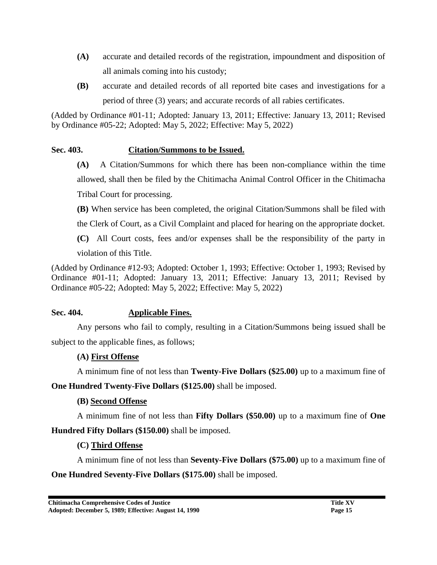- **(A)** accurate and detailed records of the registration, impoundment and disposition of all animals coming into his custody;
- **(B)** accurate and detailed records of all reported bite cases and investigations for a period of three (3) years; and accurate records of all rabies certificates.

(Added by Ordinance #01-11; Adopted: January 13, 2011; Effective: January 13, 2011; Revised by Ordinance #05-22; Adopted: May 5, 2022; Effective: May 5, 2022)

### **Sec. 403. Citation/Summons to be Issued.**

- **(A)** A Citation/Summons for which there has been non-compliance within the time allowed, shall then be filed by the Chitimacha Animal Control Officer in the Chitimacha Tribal Court for processing.
- **(B)** When service has been completed, the original Citation/Summons shall be filed with the Clerk of Court, as a Civil Complaint and placed for hearing on the appropriate docket.
- **(C)** All Court costs, fees and/or expenses shall be the responsibility of the party in violation of this Title.

(Added by Ordinance #12-93; Adopted: October 1, 1993; Effective: October 1, 1993; Revised by Ordinance #01-11; Adopted: January 13, 2011; Effective: January 13, 2011; Revised by Ordinance #05-22; Adopted: May 5, 2022; Effective: May 5, 2022)

### **Sec. 404. Applicable Fines.**

Any persons who fail to comply, resulting in a Citation/Summons being issued shall be subject to the applicable fines, as follows;

### **(A) First Offense**

A minimum fine of not less than **Twenty-Five Dollars (\$25.00)** up to a maximum fine of

**One Hundred Twenty-Five Dollars (\$125.00)** shall be imposed.

# **(B) Second Offense**

A minimum fine of not less than **Fifty Dollars (\$50.00)** up to a maximum fine of **One Hundred Fifty Dollars (\$150.00)** shall be imposed.

# **(C) Third Offense**

A minimum fine of not less than **Seventy-Five Dollars (\$75.00)** up to a maximum fine of **One Hundred Seventy-Five Dollars (\$175.00)** shall be imposed.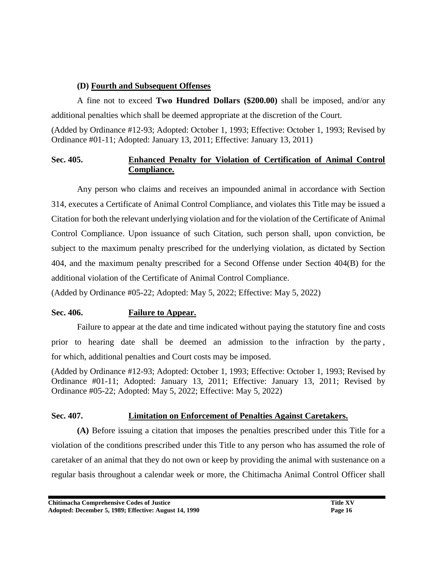### **(D) Fourth and Subsequent Offenses**

A fine not to exceed **Two Hundred Dollars (\$200.00)** shall be imposed, and/or any additional penalties which shall be deemed appropriate at the discretion of the Court.

(Added by Ordinance #12-93; Adopted: October 1, 1993; Effective: October 1, 1993; Revised by Ordinance #01-11; Adopted: January 13, 2011; Effective: January 13, 2011)

### **Sec. 405. Enhanced Penalty for Violation of Certification of Animal Control Compliance.**

Any person who claims and receives an impounded animal in accordance with Section 314, executes a Certificate of Animal Control Compliance, and violates this Title may be issued a Citation for both the relevant underlying violation and for the violation of the Certificate of Animal Control Compliance. Upon issuance of such Citation, such person shall, upon conviction, be subject to the maximum penalty prescribed for the underlying violation, as dictated by Section 404, and the maximum penalty prescribed for a Second Offense under Section 404(B) for the additional violation of the Certificate of Animal Control Compliance.

(Added by Ordinance #05-22; Adopted: May 5, 2022; Effective: May 5, 2022)

### **Sec. 406. Failure to Appear.**

Failure to appear at the date and time indicated without paying the statutory fine and costs prior to hearing date shall be deemed an admission to the infraction by the party , for which, additional penalties and Court costs may be imposed.

(Added by Ordinance #12-93; Adopted: October 1, 1993; Effective: October 1, 1993; Revised by Ordinance #01-11; Adopted: January 13, 2011; Effective: January 13, 2011; Revised by Ordinance #05-22; Adopted: May 5, 2022; Effective: May 5, 2022)

### **Sec. 407. Limitation on Enforcement of Penalties Against Caretakers.**

**(A)** Before issuing a citation that imposes the penalties prescribed under this Title for a violation of the conditions prescribed under this Title to any person who has assumed the role of caretaker of an animal that they do not own or keep by providing the animal with sustenance on a regular basis throughout a calendar week or more, the Chitimacha Animal Control Officer shall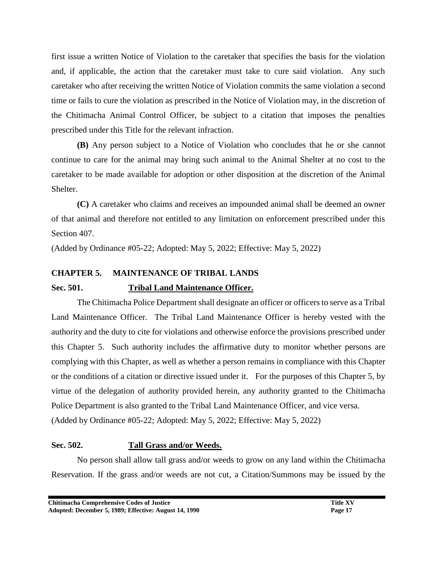first issue a written Notice of Violation to the caretaker that specifies the basis for the violation and, if applicable, the action that the caretaker must take to cure said violation. Any such caretaker who after receiving the written Notice of Violation commits the same violation a second time or fails to cure the violation as prescribed in the Notice of Violation may, in the discretion of the Chitimacha Animal Control Officer, be subject to a citation that imposes the penalties prescribed under this Title for the relevant infraction.

**(B)** Any person subject to a Notice of Violation who concludes that he or she cannot continue to care for the animal may bring such animal to the Animal Shelter at no cost to the caretaker to be made available for adoption or other disposition at the discretion of the Animal Shelter.

**(C)** A caretaker who claims and receives an impounded animal shall be deemed an owner of that animal and therefore not entitled to any limitation on enforcement prescribed under this Section 407.

(Added by Ordinance #05-22; Adopted: May 5, 2022; Effective: May 5, 2022)

# **CHAPTER 5. MAINTENANCE OF TRIBAL LANDS**

### **Sec. 501. Tribal Land Maintenance Officer.**

The Chitimacha Police Department shall designate an officer or officers to serve as a Tribal Land Maintenance Officer. The Tribal Land Maintenance Officer is hereby vested with the authority and the duty to cite for violations and otherwise enforce the provisions prescribed under this Chapter 5. Such authority includes the affirmative duty to monitor whether persons are complying with this Chapter, as well as whether a person remains in compliance with this Chapter or the conditions of a citation or directive issued under it. For the purposes of this Chapter 5, by virtue of the delegation of authority provided herein, any authority granted to the Chitimacha Police Department is also granted to the Tribal Land Maintenance Officer, and vice versa. (Added by Ordinance #05-22; Adopted: May 5, 2022; Effective: May 5, 2022)

### **Sec. 502. Tall Grass and/or Weeds.**

No person shall allow tall grass and/or weeds to grow on any land within the Chitimacha Reservation. If the grass and/or weeds are not cut, a Citation/Summons may be issued by the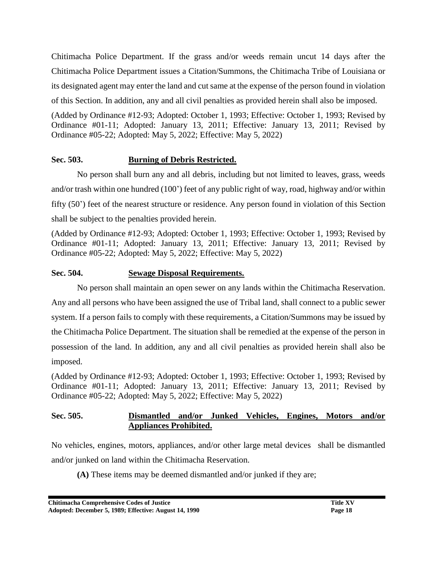Chitimacha Police Department. If the grass and/or weeds remain uncut 14 days after the Chitimacha Police Department issues a Citation/Summons, the Chitimacha Tribe of Louisiana or its designated agent may enter the land and cut same at the expense of the person found in violation of this Section. In addition, any and all civil penalties as provided herein shall also be imposed.

(Added by Ordinance #12-93; Adopted: October 1, 1993; Effective: October 1, 1993; Revised by Ordinance #01-11; Adopted: January 13, 2011; Effective: January 13, 2011; Revised by Ordinance #05-22; Adopted: May 5, 2022; Effective: May 5, 2022)

### **Sec. 503. Burning of Debris Restricted.**

No person shall burn any and all debris, including but not limited to leaves, grass, weeds and/or trash within one hundred (100') feet of any public right of way, road, highway and/or within fifty (50') feet of the nearest structure or residence. Any person found in violation of this Section shall be subject to the penalties provided herein.

(Added by Ordinance #12-93; Adopted: October 1, 1993; Effective: October 1, 1993; Revised by Ordinance #01-11; Adopted: January 13, 2011; Effective: January 13, 2011; Revised by Ordinance #05-22; Adopted: May 5, 2022; Effective: May 5, 2022)

#### **Sec. 504. Sewage Disposal Requirements.**

No person shall maintain an open sewer on any lands within the Chitimacha Reservation. Any and all persons who have been assigned the use of Tribal land, shall connect to a public sewer system. If a person fails to comply with these requirements, a Citation/Summons may be issued by the Chitimacha Police Department. The situation shall be remedied at the expense of the person in possession of the land. In addition, any and all civil penalties as provided herein shall also be imposed.

(Added by Ordinance #12-93; Adopted: October 1, 1993; Effective: October 1, 1993; Revised by Ordinance #01-11; Adopted: January 13, 2011; Effective: January 13, 2011; Revised by Ordinance #05-22; Adopted: May 5, 2022; Effective: May 5, 2022)

### **Sec. 505. Dismantled and/or Junked Vehicles, Engines, Motors and/or Appliances Prohibited.**

No vehicles, engines, motors, appliances, and/or other large metal devices shall be dismantled and/or junked on land within the Chitimacha Reservation.

**(A)** These items may be deemed dismantled and/or junked if they are;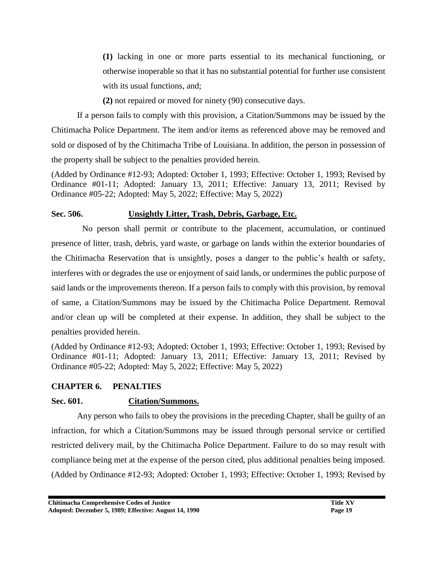**(1)** lacking in one or more parts essential to its mechanical functioning, or otherwise inoperable so that it has no substantial potential for further use consistent with its usual functions, and;

**(2)** not repaired or moved for ninety (90) consecutive days.

If a person fails to comply with this provision, a Citation/Summons may be issued by the Chitimacha Police Department. The item and/or items as referenced above may be removed and sold or disposed of by the Chitimacha Tribe of Louisiana. In addition, the person in possession of the property shall be subject to the penalties provided herein.

(Added by Ordinance #12-93; Adopted: October 1, 1993; Effective: October 1, 1993; Revised by Ordinance #01-11; Adopted: January 13, 2011; Effective: January 13, 2011; Revised by Ordinance #05-22; Adopted: May 5, 2022; Effective: May 5, 2022)

### **Sec. 506. Unsightly Litter, Trash, Debris, Garbage, Etc.**

 No person shall permit or contribute to the placement, accumulation, or continued presence of litter, trash, debris, yard waste, or garbage on lands within the exterior boundaries of the Chitimacha Reservation that is unsightly, poses a danger to the public's health or safety, interferes with or degrades the use or enjoyment of said lands, or undermines the public purpose of said lands or the improvements thereon. If a person fails to comply with this provision, by removal of same, a Citation/Summons may be issued by the Chitimacha Police Department. Removal and/or clean up will be completed at their expense. In addition, they shall be subject to the penalties provided herein.

(Added by Ordinance #12-93; Adopted: October 1, 1993; Effective: October 1, 1993; Revised by Ordinance #01-11; Adopted: January 13, 2011; Effective: January 13, 2011; Revised by Ordinance #05-22; Adopted: May 5, 2022; Effective: May 5, 2022)

### **CHAPTER 6. PENALTIES**

### **Sec. 601. Citation/Summons.**

Any person who fails to obey the provisions in the preceding Chapter, shall be guilty of an infraction, for which a Citation/Summons may be issued through personal service or certified restricted delivery mail, by the Chitimacha Police Department. Failure to do so may result with compliance being met at the expense of the person cited, plus additional penalties being imposed. (Added by Ordinance #12-93; Adopted: October 1, 1993; Effective: October 1, 1993; Revised by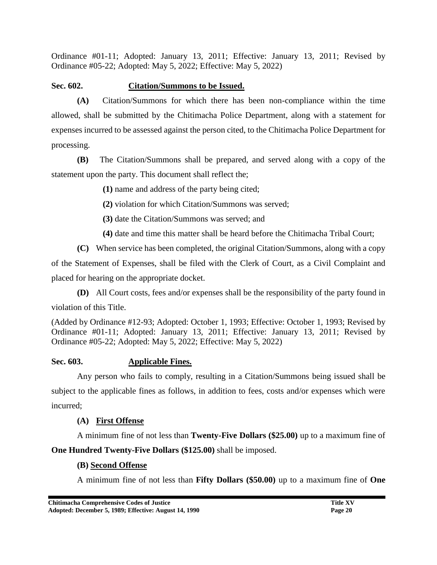Ordinance #01-11; Adopted: January 13, 2011; Effective: January 13, 2011; Revised by Ordinance #05-22; Adopted: May 5, 2022; Effective: May 5, 2022)

### **Sec. 602. Citation/Summons to be Issued.**

**(A)** Citation/Summons for which there has been non-compliance within the time allowed, shall be submitted by the Chitimacha Police Department, along with a statement for expenses incurred to be assessed against the person cited, to the Chitimacha Police Department for processing.

**(B)** The Citation/Summons shall be prepared, and served along with a copy of the statement upon the party. This document shall reflect the;

**(1)** name and address of the party being cited;

**(2)** violation for which Citation/Summons was served;

**(3)** date the Citation/Summons was served; and

**(4)** date and time this matter shall be heard before the Chitimacha Tribal Court;

**(C)** When service has been completed, the original Citation/Summons, along with a copy

of the Statement of Expenses, shall be filed with the Clerk of Court, as a Civil Complaint and placed for hearing on the appropriate docket.

**(D)** All Court costs, fees and/or expenses shall be the responsibility of the party found in

violation of this Title.

(Added by Ordinance #12-93; Adopted: October 1, 1993; Effective: October 1, 1993; Revised by Ordinance #01-11; Adopted: January 13, 2011; Effective: January 13, 2011; Revised by Ordinance #05-22; Adopted: May 5, 2022; Effective: May 5, 2022)

# **Sec. 603. Applicable Fines.**

Any person who fails to comply, resulting in a Citation/Summons being issued shall be subject to the applicable fines as follows, in addition to fees, costs and/or expenses which were incurred;

# **(A) First Offense**

A minimum fine of not less than **Twenty-Five Dollars (\$25.00)** up to a maximum fine of **One Hundred Twenty-Five Dollars (\$125.00)** shall be imposed.

# **(B) Second Offense**

A minimum fine of not less than **Fifty Dollars (\$50.00)** up to a maximum fine of **One**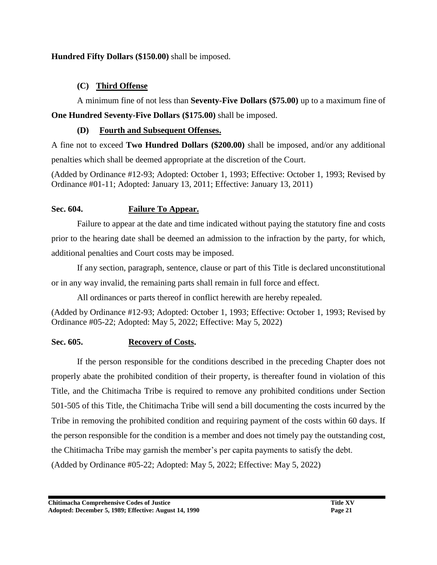### **Hundred Fifty Dollars (\$150.00)** shall be imposed.

### **(C) Third Offense**

A minimum fine of not less than **Seventy-Five Dollars (\$75.00)** up to a maximum fine of **One Hundred Seventy-Five Dollars (\$175.00)** shall be imposed.

### **(D) Fourth and Subsequent Offenses.**

A fine not to exceed **Two Hundred Dollars (\$200.00)** shall be imposed, and/or any additional penalties which shall be deemed appropriate at the discretion of the Court.

(Added by Ordinance #12-93; Adopted: October 1, 1993; Effective: October 1, 1993; Revised by Ordinance #01-11; Adopted: January 13, 2011; Effective: January 13, 2011)

### **Sec. 604. Failure To Appear.**

Failure to appear at the date and time indicated without paying the statutory fine and costs prior to the hearing date shall be deemed an admission to the infraction by the party, for which, additional penalties and Court costs may be imposed.

If any section, paragraph, sentence, clause or part of this Title is declared unconstitutional or in any way invalid, the remaining parts shall remain in full force and effect.

All ordinances or parts thereof in conflict herewith are hereby repealed.

(Added by Ordinance #12-93; Adopted: October 1, 1993; Effective: October 1, 1993; Revised by Ordinance #05-22; Adopted: May 5, 2022; Effective: May 5, 2022)

### **Sec. 605. Recovery of Costs.**

If the person responsible for the conditions described in the preceding Chapter does not properly abate the prohibited condition of their property, is thereafter found in violation of this Title, and the Chitimacha Tribe is required to remove any prohibited conditions under Section 501-505 of this Title, the Chitimacha Tribe will send a bill documenting the costs incurred by the Tribe in removing the prohibited condition and requiring payment of the costs within 60 days. If the person responsible for the condition is a member and does not timely pay the outstanding cost, the Chitimacha Tribe may garnish the member's per capita payments to satisfy the debt. (Added by Ordinance #05-22; Adopted: May 5, 2022; Effective: May 5, 2022)